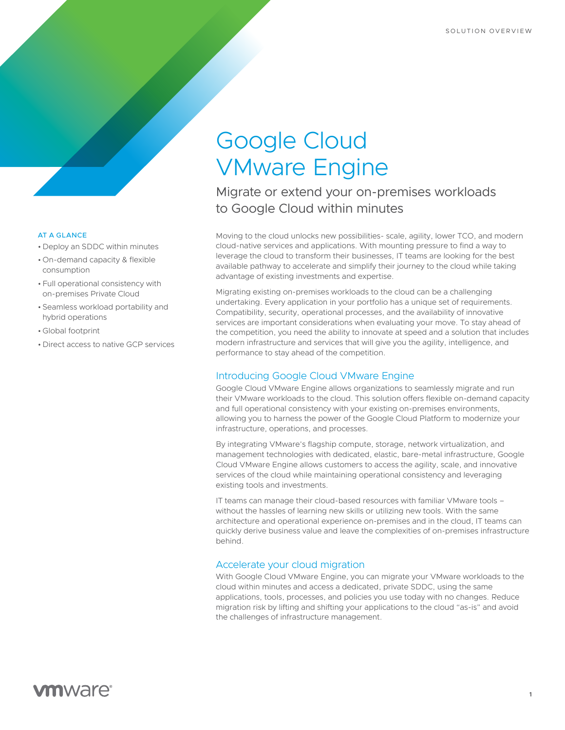# Google Cloud VMware Engine

Migrate or extend your on-premises workloads to Google Cloud within minutes

Moving to the cloud unlocks new possibilities- scale, agility, lower TCO, and modern cloud-native services and applications. With mounting pressure to find a way to leverage the cloud to transform their businesses, IT teams are looking for the best available pathway to accelerate and simplify their journey to the cloud while taking advantage of existing investments and expertise.

Migrating existing on-premises workloads to the cloud can be a challenging undertaking. Every application in your portfolio has a unique set of requirements. Compatibility, security, operational processes, and the availability of innovative services are important considerations when evaluating your move. To stay ahead of the competition, you need the ability to innovate at speed and a solution that includes modern infrastructure and services that will give you the agility, intelligence, and performance to stay ahead of the competition.

# Introducing Google Cloud VMware Engine

Google Cloud VMware Engine allows organizations to seamlessly migrate and run their VMware workloads to the cloud. This solution offers flexible on-demand capacity and full operational consistency with your existing on-premises environments, allowing you to harness the power of the Google Cloud Platform to modernize your infrastructure, operations, and processes.

By integrating VMware's flagship compute, storage, network virtualization, and management technologies with dedicated, elastic, bare-metal infrastructure, Google Cloud VMware Engine allows customers to access the agility, scale, and innovative services of the cloud while maintaining operational consistency and leveraging existing tools and investments.

IT teams can manage their cloud-based resources with familiar VMware tools – without the hassles of learning new skills or utilizing new tools. With the same architecture and operational experience on-premises and in the cloud, IT teams can quickly derive business value and leave the complexities of on-premises infrastructure behind.

## Accelerate your cloud migration

With Google Cloud VMware Engine, you can migrate your VMware workloads to the cloud within minutes and access a dedicated, private SDDC, using the same applications, tools, processes, and policies you use today with no changes. Reduce migration risk by lifting and shifting your applications to the cloud "as-is" and avoid the challenges of infrastructure management.

#### AT A GLANCE

- Deploy an SDDC within minutes
- On-demand capacity & flexible consumption
- Full operational consistency with on-premises Private Cloud
- Seamless workload portability and hybrid operations
- Global footprint
- Direct access to native GCP services